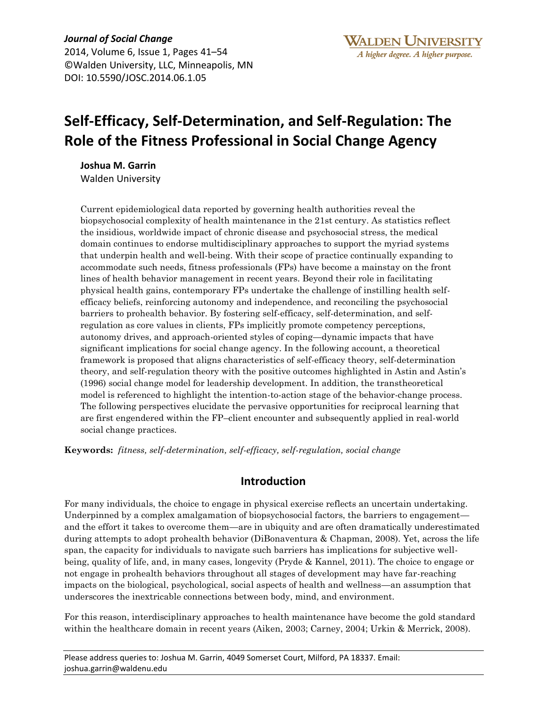*Journal of Social Change* 2014, Volume 6, Issue 1, Pages 41–54 ©Walden University, LLC, Minneapolis, MN DOI: 10.5590/JOSC.2014.06.1.05

# **Self-Efficacy, Self-Determination, and Self-Regulation: The Role of the Fitness Professional in Social Change Agency**

**Joshua M. Garrin** Walden University

Current epidemiological data reported by governing health authorities reveal the biopsychosocial complexity of health maintenance in the 21st century. As statistics reflect the insidious, worldwide impact of chronic disease and psychosocial stress, the medical domain continues to endorse multidisciplinary approaches to support the myriad systems that underpin health and well-being. With their scope of practice continually expanding to accommodate such needs, fitness professionals (FPs) have become a mainstay on the front lines of health behavior management in recent years. Beyond their role in facilitating physical health gains, contemporary FPs undertake the challenge of instilling health selfefficacy beliefs, reinforcing autonomy and independence, and reconciling the psychosocial barriers to prohealth behavior. By fostering self-efficacy, self-determination, and selfregulation as core values in clients, FPs implicitly promote competency perceptions, autonomy drives, and approach-oriented styles of coping—dynamic impacts that have significant implications for social change agency. In the following account, a theoretical framework is proposed that aligns characteristics of self-efficacy theory, self-determination theory, and self-regulation theory with the positive outcomes highlighted in Astin and Astin's (1996) social change model for leadership development. In addition, the transtheoretical model is referenced to highlight the intention-to-action stage of the behavior-change process. The following perspectives elucidate the pervasive opportunities for reciprocal learning that are first engendered within the FP–client encounter and subsequently applied in real-world social change practices.

**Keywords:** *fitness, self-determination, self-efficacy, self-regulation, social change*

# **Introduction**

For many individuals, the choice to engage in physical exercise reflects an uncertain undertaking. Underpinned by a complex amalgamation of biopsychosocial factors, the barriers to engagement and the effort it takes to overcome them—are in ubiquity and are often dramatically underestimated during attempts to adopt prohealth behavior (DiBonaventura & Chapman, 2008). Yet, across the life span, the capacity for individuals to navigate such barriers has implications for subjective wellbeing, quality of life, and, in many cases, longevity (Pryde & Kannel, 2011). The choice to engage or not engage in prohealth behaviors throughout all stages of development may have far-reaching impacts on the biological, psychological, social aspects of health and wellness—an assumption that underscores the inextricable connections between body, mind, and environment.

For this reason, interdisciplinary approaches to health maintenance have become the gold standard within the healthcare domain in recent years (Aiken, 2003; Carney, 2004; Urkin & Merrick, 2008).

Please address queries to: Joshua M. Garrin, 4049 Somerset Court, Milford, PA 18337. Email: joshua.garrin@waldenu.edu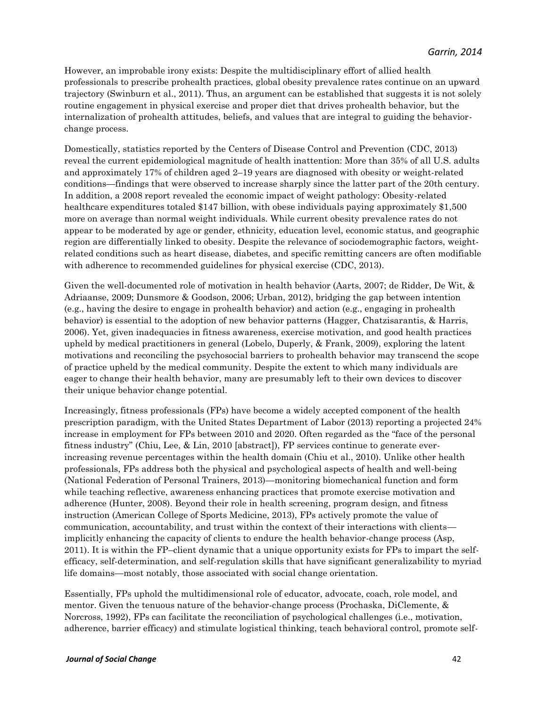However, an improbable irony exists: Despite the multidisciplinary effort of allied health professionals to prescribe prohealth practices, global obesity prevalence rates continue on an upward trajectory (Swinburn et al., 2011). Thus, an argument can be established that suggests it is not solely routine engagement in physical exercise and proper diet that drives prohealth behavior, but the internalization of prohealth attitudes, beliefs, and values that are integral to guiding the behaviorchange process.

Domestically, statistics reported by the Centers of Disease Control and Prevention (CDC, 2013) reveal the current epidemiological magnitude of health inattention: More than 35% of all U.S. adults and approximately 17% of children aged 2–19 years are diagnosed with obesity or weight-related conditions—findings that were observed to increase sharply since the latter part of the 20th century. In addition, a 2008 report revealed the economic impact of weight pathology: Obesity-related healthcare expenditures totaled \$147 billion, with obese individuals paying approximately \$1,500 more on average than normal weight individuals. While current obesity prevalence rates do not appear to be moderated by age or gender, ethnicity, education level, economic status, and geographic region are differentially linked to obesity. Despite the relevance of sociodemographic factors, weightrelated conditions such as heart disease, diabetes, and specific remitting cancers are often modifiable with adherence to recommended guidelines for physical exercise (CDC, 2013).

Given the well-documented role of motivation in health behavior (Aarts, 2007; de Ridder, De Wit, & Adriaanse, 2009; Dunsmore & Goodson, 2006; Urban, 2012), bridging the gap between intention (e.g., having the desire to engage in prohealth behavior) and action (e.g., engaging in prohealth behavior) is essential to the adoption of new behavior patterns (Hagger, Chatzisarantis, & Harris, 2006). Yet, given inadequacies in fitness awareness, exercise motivation, and good health practices upheld by medical practitioners in general (Lobelo, Duperly, & Frank, 2009), exploring the latent motivations and reconciling the psychosocial barriers to prohealth behavior may transcend the scope of practice upheld by the medical community. Despite the extent to which many individuals are eager to change their health behavior, many are presumably left to their own devices to discover their unique behavior change potential.

Increasingly, fitness professionals (FPs) have become a widely accepted component of the health prescription paradigm, with the United States Department of Labor (2013) reporting a projected 24% increase in employment for FPs between 2010 and 2020. Often regarded as the "face of the personal fitness industry" (Chiu, Lee, & Lin, 2010 [abstract]), FP services continue to generate everincreasing revenue percentages within the health domain (Chiu et al., 2010). Unlike other health professionals, FPs address both the physical and psychological aspects of health and well-being (National Federation of Personal Trainers, 2013)—monitoring biomechanical function and form while teaching reflective, awareness enhancing practices that promote exercise motivation and adherence (Hunter, 2008). Beyond their role in health screening, program design, and fitness instruction (American College of Sports Medicine, 2013), FPs actively promote the value of communication, accountability, and trust within the context of their interactions with clients implicitly enhancing the capacity of clients to endure the health behavior-change process (Asp, 2011). It is within the FP–client dynamic that a unique opportunity exists for FPs to impart the selfefficacy, self-determination, and self-regulation skills that have significant generalizability to myriad life domains—most notably, those associated with social change orientation.

Essentially, FPs uphold the multidimensional role of educator, advocate, coach, role model, and mentor. Given the tenuous nature of the behavior-change process (Prochaska, DiClemente, & Norcross, 1992), FPs can facilitate the reconciliation of psychological challenges (i.e., motivation, adherence, barrier efficacy) and stimulate logistical thinking, teach behavioral control, promote self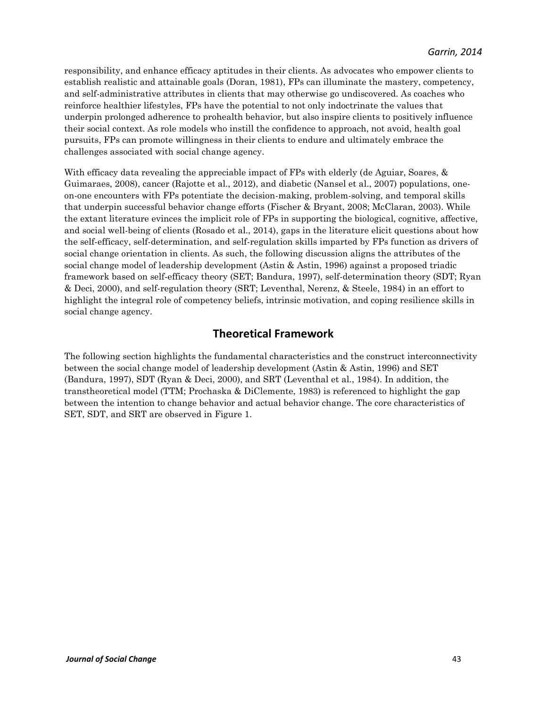responsibility, and enhance efficacy aptitudes in their clients. As advocates who empower clients to establish realistic and attainable goals (Doran, 1981), FPs can illuminate the mastery, competency, and self-administrative attributes in clients that may otherwise go undiscovered. As coaches who reinforce healthier lifestyles, FPs have the potential to not only indoctrinate the values that underpin prolonged adherence to prohealth behavior, but also inspire clients to positively influence their social context. As role models who instill the confidence to approach, not avoid, health goal pursuits, FPs can promote willingness in their clients to endure and ultimately embrace the challenges associated with social change agency.

With efficacy data revealing the appreciable impact of FPs with elderly (de Aguiar, Soares, & Guimaraes, 2008), cancer (Rajotte et al., 2012), and diabetic (Nansel et al., 2007) populations, oneon-one encounters with FPs potentiate the decision-making, problem-solving, and temporal skills that underpin successful behavior change efforts (Fischer & Bryant, 2008; McClaran, 2003). While the extant literature evinces the implicit role of FPs in supporting the biological, cognitive, affective, and social well-being of clients (Rosado et al., 2014), gaps in the literature elicit questions about how the self-efficacy, self-determination, and self-regulation skills imparted by FPs function as drivers of social change orientation in clients. As such, the following discussion aligns the attributes of the social change model of leadership development (Astin & Astin, 1996) against a proposed triadic framework based on self-efficacy theory (SET; Bandura, 1997), self-determination theory (SDT; Ryan & Deci, 2000), and self-regulation theory (SRT; Leventhal, Nerenz, & Steele, 1984) in an effort to highlight the integral role of competency beliefs, intrinsic motivation, and coping resilience skills in social change agency.

# **Theoretical Framework**

The following section highlights the fundamental characteristics and the construct interconnectivity between the social change model of leadership development (Astin & Astin, 1996) and SET (Bandura, 1997), SDT (Ryan & Deci, 2000), and SRT (Leventhal et al., 1984). In addition, the transtheoretical model (TTM; Prochaska & DiClemente, 1983) is referenced to highlight the gap between the intention to change behavior and actual behavior change. The core characteristics of SET, SDT, and SRT are observed in Figure 1.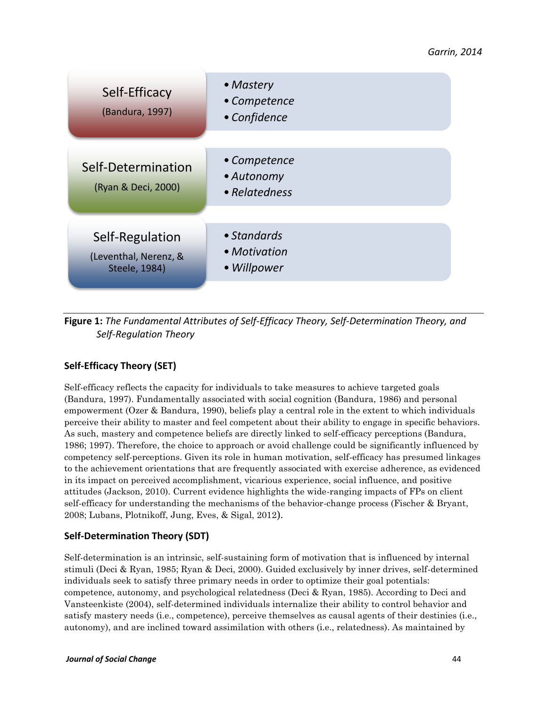| Self-Efficacy<br>(Bandura, 1997)                                 | • Mastery<br>• Competence<br>• Confidence   |
|------------------------------------------------------------------|---------------------------------------------|
| Self-Determination<br>(Ryan & Deci, 2000)                        | • Competence<br>• Autonomy<br>• Relatedness |
| Self-Regulation<br>(Leventhal, Nerenz, &<br><b>Steele, 1984)</b> | • Standards<br>• Motivation<br>• Willpower  |

**Figure 1:** *The Fundamental Attributes of Self-Efficacy Theory, Self-Determination Theory, and Self-Regulation Theory*

# **Self-Efficacy Theory (SET)**

Self-efficacy reflects the capacity for individuals to take measures to achieve targeted goals (Bandura, 1997). Fundamentally associated with social cognition (Bandura, 1986) and personal empowerment (Ozer & Bandura, 1990), beliefs play a central role in the extent to which individuals perceive their ability to master and feel competent about their ability to engage in specific behaviors. As such, mastery and competence beliefs are directly linked to self-efficacy perceptions (Bandura, 1986; 1997). Therefore, the choice to approach or avoid challenge could be significantly influenced by competency self-perceptions. Given its role in human motivation, self-efficacy has presumed linkages to the achievement orientations that are frequently associated with exercise adherence, as evidenced in its impact on perceived accomplishment, vicarious experience, social influence, and positive attitudes (Jackson, 2010). Current evidence highlights the wide-ranging impacts of FPs on client self-efficacy for understanding the mechanisms of the behavior-change process (Fischer & Bryant, 2008; Lubans, Plotnikoff, Jung, Eves, & Sigal, 2012).

### **Self-Determination Theory (SDT)**

Self-determination is an intrinsic, self-sustaining form of motivation that is influenced by internal stimuli (Deci & Ryan, 1985; Ryan & Deci, 2000). Guided exclusively by inner drives, self-determined individuals seek to satisfy three primary needs in order to optimize their goal potentials: competence, autonomy, and psychological relatedness (Deci & Ryan, 1985). According to Deci and Vansteenkiste (2004), self-determined individuals internalize their ability to control behavior and satisfy mastery needs (i.e., competence), perceive themselves as causal agents of their destinies (i.e., autonomy), and are inclined toward assimilation with others (i.e., relatedness). As maintained by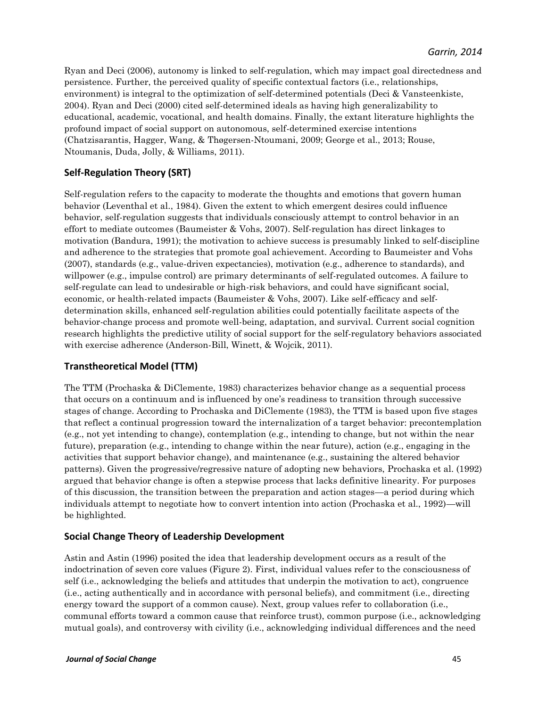Ryan and Deci (2006), autonomy is linked to self-regulation, which may impact goal directedness and persistence. Further, the perceived quality of specific contextual factors (i.e., relationships, environment) is integral to the optimization of self-determined potentials (Deci & Vansteenkiste, 2004). Ryan and Deci (2000) cited self-determined ideals as having high generalizability to educational, academic, vocational, and health domains. Finally, the extant literature highlights the profound impact of social support on autonomous, self-determined exercise intentions (Chatzisarantis, Hagger, Wang, & Thøgersen-Ntoumani, 2009; George et al., 2013; Rouse, Ntoumanis, Duda, Jolly, & Williams, 2011).

### **Self-Regulation Theory (SRT)**

Self-regulation refers to the capacity to moderate the thoughts and emotions that govern human behavior (Leventhal et al., 1984). Given the extent to which emergent desires could influence behavior, self-regulation suggests that individuals consciously attempt to control behavior in an effort to mediate outcomes (Baumeister & Vohs, 2007). Self-regulation has direct linkages to motivation (Bandura, 1991); the motivation to achieve success is presumably linked to self-discipline and adherence to the strategies that promote goal achievement. According to Baumeister and Vohs (2007), standards (e.g., value-driven expectancies), motivation (e.g., adherence to standards), and willpower (e.g., impulse control) are primary determinants of self-regulated outcomes. A failure to self-regulate can lead to undesirable or high-risk behaviors, and could have significant social, economic, or health-related impacts (Baumeister & Vohs, 2007). Like self-efficacy and selfdetermination skills, enhanced self-regulation abilities could potentially facilitate aspects of the behavior-change process and promote well-being, adaptation, and survival. Current social cognition research highlights the predictive utility of social support for the self-regulatory behaviors associated with exercise adherence (Anderson-Bill, Winett, & Wojcik, 2011).

### **Transtheoretical Model (TTM)**

The TTM (Prochaska & DiClemente, 1983) characterizes behavior change as a sequential process that occurs on a continuum and is influenced by one's readiness to transition through successive stages of change. According to Prochaska and DiClemente (1983), the TTM is based upon five stages that reflect a continual progression toward the internalization of a target behavior: precontemplation (e.g., not yet intending to change), contemplation (e.g., intending to change, but not within the near future), preparation (e.g., intending to change within the near future), action (e.g., engaging in the activities that support behavior change), and maintenance (e.g., sustaining the altered behavior patterns). Given the progressive/regressive nature of adopting new behaviors, Prochaska et al. (1992) argued that behavior change is often a stepwise process that lacks definitive linearity. For purposes of this discussion, the transition between the preparation and action stages—a period during which individuals attempt to negotiate how to convert intention into action (Prochaska et al., 1992)—will be highlighted.

### **Social Change Theory of Leadership Development**

Astin and Astin (1996) posited the idea that leadership development occurs as a result of the indoctrination of seven core values (Figure 2). First, individual values refer to the consciousness of self (i.e., acknowledging the beliefs and attitudes that underpin the motivation to act), congruence (i.e., acting authentically and in accordance with personal beliefs), and commitment (i.e., directing energy toward the support of a common cause). Next, group values refer to collaboration (i.e., communal efforts toward a common cause that reinforce trust), common purpose (i.e., acknowledging mutual goals), and controversy with civility (i.e., acknowledging individual differences and the need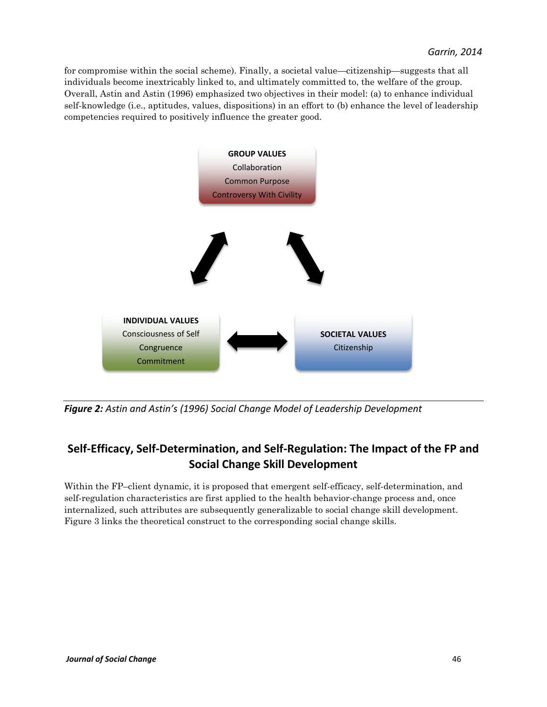for compromise within the social scheme). Finally, a societal value—citizenship—suggests that all individuals become inextricably linked to, and ultimately committed to, the welfare of the group. Overall, Astin and Astin (1996) emphasized two objectives in their model: (a) to enhance individual self-knowledge (i.e., aptitudes, values, dispositions) in an effort to (b) enhance the level of leadership competencies required to positively influence the greater good.



*Figure 2: Astin and Astin's (1996) Social Change Model of Leadership Development*

# **Self-Efficacy, Self-Determination, and Self-Regulation: The Impact of the FP and Social Change Skill Development**

Within the FP–client dynamic, it is proposed that emergent self-efficacy, self-determination, and self-regulation characteristics are first applied to the health behavior-change process and, once internalized, such attributes are subsequently generalizable to social change skill development. Figure 3 links the theoretical construct to the corresponding social change skills.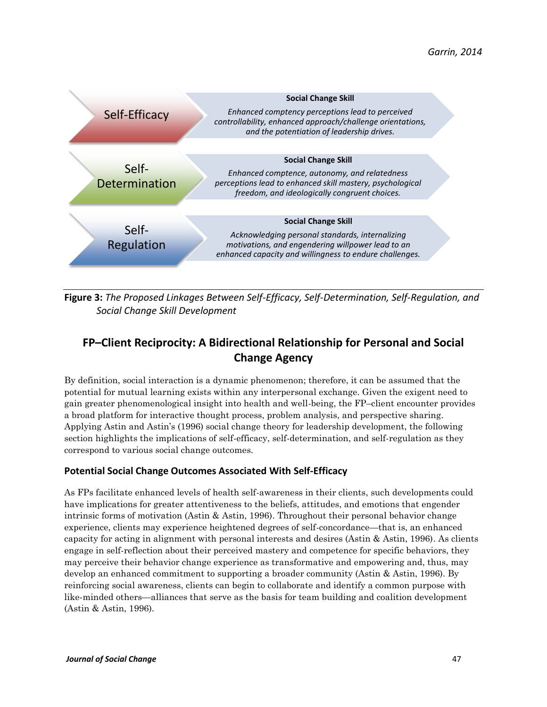

**Figure 3:** *The Proposed Linkages Between Self-Efficacy, Self-Determination, Self-Regulation, and Social Change Skill Development*

# **FP–Client Reciprocity: A Bidirectional Relationship for Personal and Social Change Agency**

By definition, social interaction is a dynamic phenomenon; therefore, it can be assumed that the potential for mutual learning exists within any interpersonal exchange. Given the exigent need to gain greater phenomenological insight into health and well-being, the FP–client encounter provides a broad platform for interactive thought process, problem analysis, and perspective sharing. Applying Astin and Astin's (1996) social change theory for leadership development, the following section highlights the implications of self-efficacy, self-determination, and self-regulation as they correspond to various social change outcomes.

### **Potential Social Change Outcomes Associated With Self-Efficacy**

As FPs facilitate enhanced levels of health self-awareness in their clients, such developments could have implications for greater attentiveness to the beliefs, attitudes, and emotions that engender intrinsic forms of motivation (Astin & Astin, 1996). Throughout their personal behavior change experience, clients may experience heightened degrees of self-concordance—that is, an enhanced capacity for acting in alignment with personal interests and desires (Astin & Astin, 1996). As clients engage in self-reflection about their perceived mastery and competence for specific behaviors, they may perceive their behavior change experience as transformative and empowering and, thus, may develop an enhanced commitment to supporting a broader community (Astin & Astin, 1996). By reinforcing social awareness, clients can begin to collaborate and identify a common purpose with like-minded others—alliances that serve as the basis for team building and coalition development (Astin & Astin, 1996).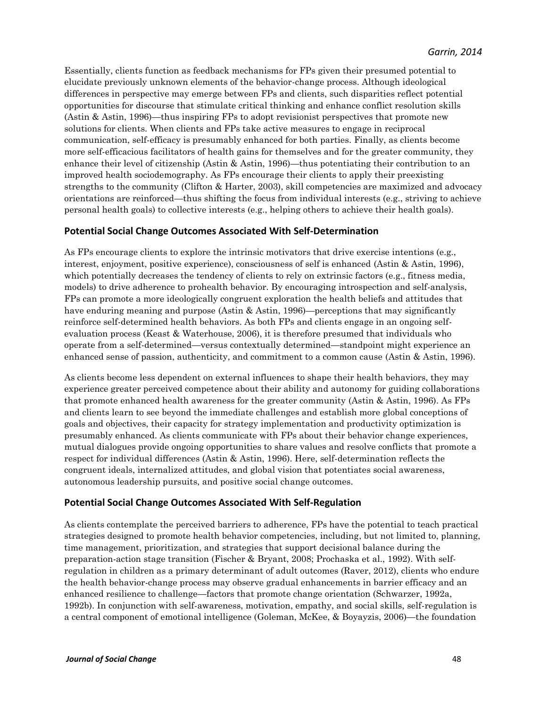Essentially, clients function as feedback mechanisms for FPs given their presumed potential to elucidate previously unknown elements of the behavior-change process. Although ideological differences in perspective may emerge between FPs and clients, such disparities reflect potential opportunities for discourse that stimulate critical thinking and enhance conflict resolution skills (Astin & Astin, 1996)—thus inspiring FPs to adopt revisionist perspectives that promote new solutions for clients. When clients and FPs take active measures to engage in reciprocal communication, self-efficacy is presumably enhanced for both parties. Finally, as clients become more self-efficacious facilitators of health gains for themselves and for the greater community, they enhance their level of citizenship (Astin & Astin, 1996)—thus potentiating their contribution to an improved health sociodemography. As FPs encourage their clients to apply their preexisting strengths to the community (Clifton & Harter, 2003), skill competencies are maximized and advocacy orientations are reinforced—thus shifting the focus from individual interests (e.g., striving to achieve personal health goals) to collective interests (e.g., helping others to achieve their health goals).

#### **Potential Social Change Outcomes Associated With Self-Determination**

As FPs encourage clients to explore the intrinsic motivators that drive exercise intentions (e.g., interest, enjoyment, positive experience), consciousness of self is enhanced (Astin & Astin, 1996), which potentially decreases the tendency of clients to rely on extrinsic factors (e.g., fitness media, models) to drive adherence to prohealth behavior. By encouraging introspection and self-analysis, FPs can promote a more ideologically congruent exploration the health beliefs and attitudes that have enduring meaning and purpose (Astin & Astin, 1996)—perceptions that may significantly reinforce self-determined health behaviors. As both FPs and clients engage in an ongoing selfevaluation process (Keast & Waterhouse, 2006), it is therefore presumed that individuals who operate from a self-determined—versus contextually determined—standpoint might experience an enhanced sense of passion, authenticity, and commitment to a common cause (Astin & Astin, 1996).

As clients become less dependent on external influences to shape their health behaviors, they may experience greater perceived competence about their ability and autonomy for guiding collaborations that promote enhanced health awareness for the greater community (Astin & Astin, 1996). As FPs and clients learn to see beyond the immediate challenges and establish more global conceptions of goals and objectives, their capacity for strategy implementation and productivity optimization is presumably enhanced. As clients communicate with FPs about their behavior change experiences, mutual dialogues provide ongoing opportunities to share values and resolve conflicts that promote a respect for individual differences (Astin & Astin, 1996). Here, self-determination reflects the congruent ideals, internalized attitudes, and global vision that potentiates social awareness, autonomous leadership pursuits, and positive social change outcomes.

#### **Potential Social Change Outcomes Associated With Self-Regulation**

As clients contemplate the perceived barriers to adherence, FPs have the potential to teach practical strategies designed to promote health behavior competencies, including, but not limited to, planning, time management, prioritization, and strategies that support decisional balance during the preparation-action stage transition (Fischer & Bryant, 2008; Prochaska et al., 1992). With selfregulation in children as a primary determinant of adult outcomes (Raver, 2012), clients who endure the health behavior-change process may observe gradual enhancements in barrier efficacy and an enhanced resilience to challenge—factors that promote change orientation (Schwarzer, 1992a, 1992b). In conjunction with self-awareness, motivation, empathy, and social skills, self-regulation is a central component of emotional intelligence (Goleman, McKee, & Boyayzis, 2006)—the foundation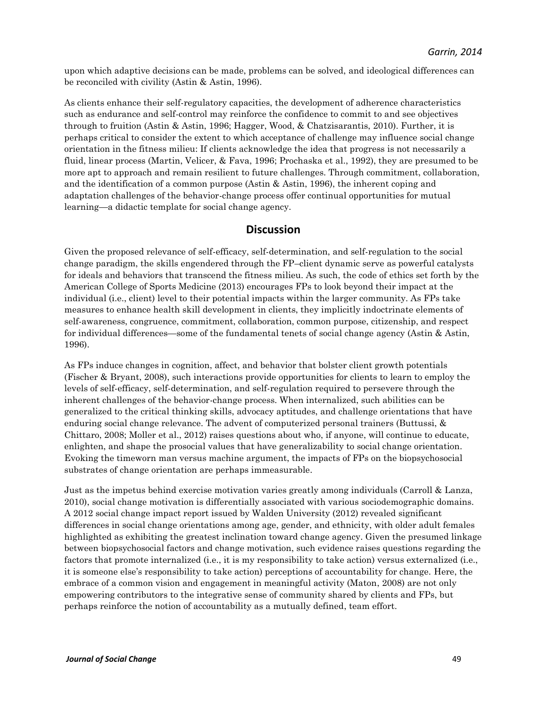upon which adaptive decisions can be made, problems can be solved, and ideological differences can be reconciled with civility (Astin & Astin, 1996).

As clients enhance their self-regulatory capacities, the development of adherence characteristics such as endurance and self-control may reinforce the confidence to commit to and see objectives through to fruition (Astin & Astin, 1996; Hagger, Wood, & Chatzisarantis, 2010). Further, it is perhaps critical to consider the extent to which acceptance of challenge may influence social change orientation in the fitness milieu: If clients acknowledge the idea that progress is not necessarily a fluid, linear process (Martin, Velicer, & Fava, 1996; Prochaska et al., 1992), they are presumed to be more apt to approach and remain resilient to future challenges. Through commitment, collaboration, and the identification of a common purpose (Astin & Astin, 1996), the inherent coping and adaptation challenges of the behavior-change process offer continual opportunities for mutual learning—a didactic template for social change agency.

### **Discussion**

Given the proposed relevance of self-efficacy, self-determination, and self-regulation to the social change paradigm, the skills engendered through the FP–client dynamic serve as powerful catalysts for ideals and behaviors that transcend the fitness milieu. As such, the code of ethics set forth by the American College of Sports Medicine (2013) encourages FPs to look beyond their impact at the individual (i.e., client) level to their potential impacts within the larger community. As FPs take measures to enhance health skill development in clients, they implicitly indoctrinate elements of self-awareness, congruence, commitment, collaboration, common purpose, citizenship, and respect for individual differences—some of the fundamental tenets of social change agency (Astin & Astin, 1996).

As FPs induce changes in cognition, affect, and behavior that bolster client growth potentials (Fischer & Bryant, 2008), such interactions provide opportunities for clients to learn to employ the levels of self-efficacy, self-determination, and self-regulation required to persevere through the inherent challenges of the behavior-change process. When internalized, such abilities can be generalized to the critical thinking skills, advocacy aptitudes, and challenge orientations that have enduring social change relevance. The advent of computerized personal trainers (Buttussi, & Chittaro, 2008; Moller et al., 2012) raises questions about who, if anyone, will continue to educate, enlighten, and shape the prosocial values that have generalizability to social change orientation. Evoking the timeworn man versus machine argument, the impacts of FPs on the biopsychosocial substrates of change orientation are perhaps immeasurable.

Just as the impetus behind exercise motivation varies greatly among individuals (Carroll & Lanza, 2010), social change motivation is differentially associated with various sociodemographic domains. A 2012 social change impact report issued by Walden University (2012) revealed significant differences in social change orientations among age, gender, and ethnicity, with older adult females highlighted as exhibiting the greatest inclination toward change agency. Given the presumed linkage between biopsychosocial factors and change motivation, such evidence raises questions regarding the factors that promote internalized (i.e., it is my responsibility to take action) versus externalized (i.e., it is someone else's responsibility to take action) perceptions of accountability for change. Here, the embrace of a common vision and engagement in meaningful activity (Maton, 2008) are not only empowering contributors to the integrative sense of community shared by clients and FPs, but perhaps reinforce the notion of accountability as a mutually defined, team effort.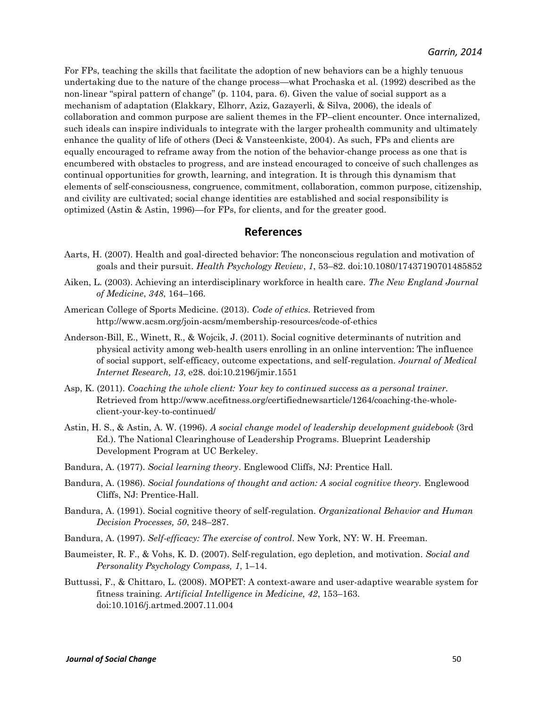For FPs, teaching the skills that facilitate the adoption of new behaviors can be a highly tenuous undertaking due to the nature of the change process—what Prochaska et al. (1992) described as the non-linear "spiral pattern of change" (p. 1104, para. 6). Given the value of social support as a mechanism of adaptation (Elakkary, Elhorr, Aziz, Gazayerli, & Silva, 2006), the ideals of collaboration and common purpose are salient themes in the FP–client encounter. Once internalized, such ideals can inspire individuals to integrate with the larger prohealth community and ultimately enhance the quality of life of others (Deci & Vansteenkiste, 2004). As such, FPs and clients are equally encouraged to reframe away from the notion of the behavior-change process as one that is encumbered with obstacles to progress, and are instead encouraged to conceive of such challenges as continual opportunities for growth, learning, and integration. It is through this dynamism that elements of self-consciousness, congruence, commitment, collaboration, common purpose, citizenship, and civility are cultivated; social change identities are established and social responsibility is optimized (Astin & Astin, 1996)—for FPs, for clients, and for the greater good.

## **References**

- Aarts, H. (2007). Health and goal-directed behavior: The nonconscious regulation and motivation of goals and their pursuit. *Health Psychology Review*, *1*, 53–82. doi:10.1080/17437190701485852
- Aiken, L. (2003). Achieving an interdisciplinary workforce in health care. *The New England Journal of Medicine*, *348*, 164–166.
- American College of Sports Medicine. (2013). *Code of ethics.* Retrieved from http://www.acsm.org/join-acsm/membership-resources/code-of-ethics
- Anderson-Bill, E., Winett, R., & Wojcik, J. (2011). Social cognitive determinants of nutrition and physical activity among web-health users enrolling in an online intervention: The influence of social support, self-efficacy, outcome expectations, and self-regulation. *Journal of Medical Internet Research, 13*, e28. doi:10.2196/jmir.1551
- Asp, K. (2011). *Coaching the whole client: Your key to continued success as a personal trainer.*  Retrieved from http://www.acefitness.org/certifiednewsarticle/1264/coaching-the-wholeclient-your-key-to-continued/
- Astin, H. S., & Astin, A. W. (1996). *A social change model of leadership development guidebook* (3rd Ed.). The National Clearinghouse of Leadership Programs. Blueprint Leadership Development Program at UC Berkeley.
- Bandura, A. (1977). *Social learning theory*. Englewood Cliffs, NJ: Prentice Hall.
- Bandura, A. (1986). *Social foundations of thought and action: A social cognitive theory.* Englewood Cliffs, NJ: Prentice-Hall.
- Bandura, A. (1991). Social cognitive theory of self-regulation. *Organizational Behavior and Human Decision Processes, 50*, 248–287.
- Bandura, A. (1997). *Self-efficacy: The exercise of control*. New York, NY: W. H. Freeman.
- Baumeister, R. F., & Vohs, K. D. (2007). Self-regulation, ego depletion, and motivation. *Social and Personality Psychology Compass, 1*, 1–14.
- Buttussi, F., & Chittaro, L. (2008). MOPET: A context-aware and user-adaptive wearable system for fitness training. *Artificial Intelligence in Medicine, 42*, 153–163. doi:10.1016/j.artmed.2007.11.004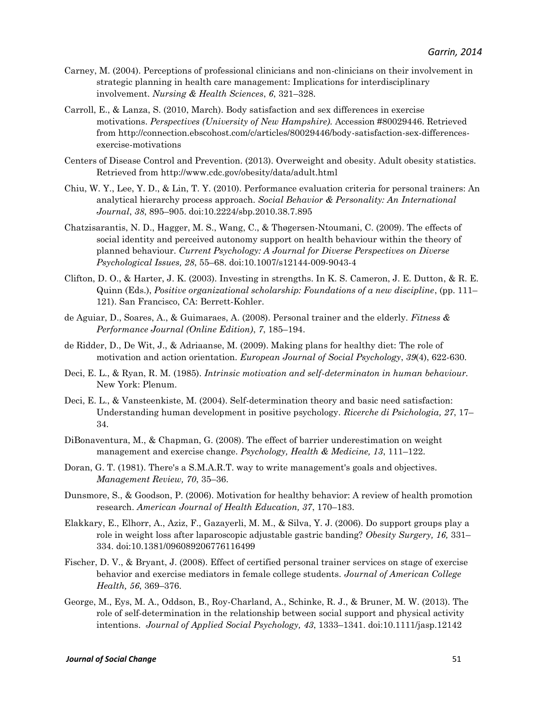- Carney, M. (2004). Perceptions of professional clinicians and non-clinicians on their involvement in strategic planning in health care management: Implications for interdisciplinary involvement. *Nursing & Health Sciences*, *6*, 321–328.
- Carroll, E., & Lanza, S. (2010, March). Body satisfaction and sex differences in exercise motivations. *Perspectives (University of New Hampshire).* Accession #80029446. Retrieved from http://connection.ebscohost.com/c/articles/80029446/body-satisfaction-sex-differencesexercise-motivations
- Centers of Disease Control and Prevention. (2013). Overweight and obesity. Adult obesity statistics. Retrieved from http://www.cdc.gov/obesity/data/adult.html
- Chiu, W. Y., Lee, Y. D., & Lin, T. Y. (2010). Performance evaluation criteria for personal trainers: An analytical hierarchy process approach. *Social Behavior & Personality: An International Journal*, *38*, 895–905. doi:10.2224/sbp.2010.38.7.895
- Chatzisarantis, N. D., Hagger, M. S., Wang, C., & Thøgersen-Ntoumani, C. (2009). The effects of social identity and perceived autonomy support on health behaviour within the theory of planned behaviour. *Current Psychology: A Journal for Diverse Perspectives on Diverse Psychological Issues, 28*, 55–68. doi:10.1007/s12144-009-9043-4
- Clifton, D. O., & Harter, J. K. (2003). Investing in strengths. In K. S. Cameron, J. E. Dutton, & R. E. Quinn (Eds.), *Positive organizational scholarship: Foundations of a new discipline*, (pp. 111– 121). San Francisco, CA: Berrett-Kohler.
- de Aguiar, D., Soares, A., & Guimaraes, A. (2008). Personal trainer and the elderly. *Fitness & Performance Journal (Online Edition)*, *7*, 185–194.
- de Ridder, D., De Wit, J., & Adriaanse, M. (2009). Making plans for healthy diet: The role of motivation and action orientation. *European Journal of Social Psychology*, *39*(4), 622-630.
- Deci, E. L., & Ryan, R. M. (1985). *Intrinsic motivation and self-determinaton in human behaviour.*  New York: Plenum.
- Deci, E. L., & Vansteenkiste, M. (2004). Self-determination theory and basic need satisfaction: Understanding human development in positive psychology. *Ricerche di Psichologia, 27*, 17– 34.
- DiBonaventura, M., & Chapman, G. (2008). The effect of barrier underestimation on weight management and exercise change. *Psychology, Health & Medicine, 13*, 111–122.
- Doran, G. T. (1981). There's a S.M.A.R.T. way to write management's goals and objectives. *Management Review, 70*, 35–36.
- Dunsmore, S., & Goodson, P. (2006). Motivation for healthy behavior: A review of health promotion research. *American Journal of Health Education, 37*, 170–183.
- Elakkary, E., Elhorr, A., Aziz, F., Gazayerli, M. M., & Silva, Y. J. (2006). Do support groups play a role in weight loss after laparoscopic adjustable gastric banding? *Obesity Surgery, 16,* 331– 334. doi:10.1381/096089206776116499
- Fischer, D. V., & Bryant, J. (2008). Effect of certified personal trainer services on stage of exercise behavior and exercise mediators in female college students. *Journal of American College Health, 56*, 369–376.
- George, M., Eys, M. A., Oddson, B., Roy-Charland, A., Schinke, R. J., & Bruner, M. W. (2013). The role of self-determination in the relationship between social support and physical activity intentions. *Journal of Applied Social Psychology, 43*, 1333–1341. doi:10.1111/jasp.12142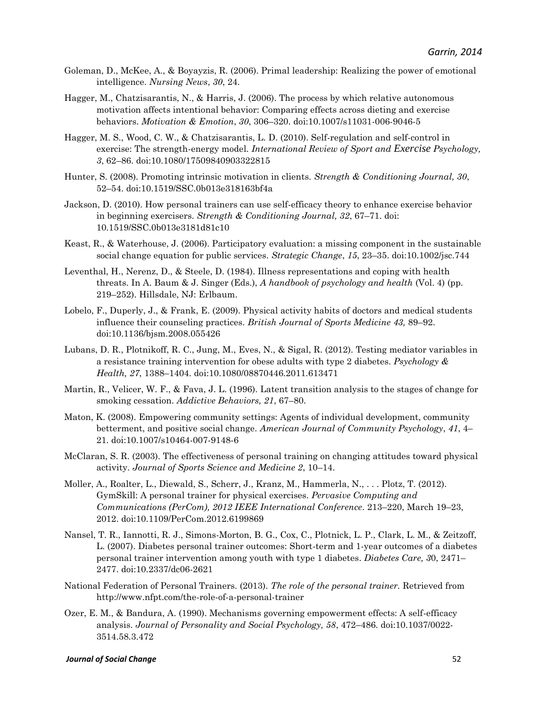- Goleman, D., McKee, A., & Boyayzis, R. (2006). Primal leadership: Realizing the power of emotional intelligence. *Nursing News*, *30*, 24.
- Hagger, M., Chatzisarantis, N., & Harris, J. (2006). The process by which relative autonomous motivation affects intentional behavior: Comparing effects across dieting and exercise behaviors. *Motivation & Emotion*, *30*, 306–320. doi:10.1007/s11031-006-9046-5
- Hagger, M. S., Wood, C. W., & Chatzisarantis, L. D. (2010). Self-regulation and self-control in exercise: The strength-energy model. *International Review of Sport and Exercise Psychology, 3*, 62–86. doi:10.1080/17509840903322815
- Hunter, S. (2008). Promoting intrinsic motivation in clients. *Strength & Conditioning Journal, 30*, 52–54. doi:10.1519/SSC.0b013e318163bf4a
- Jackson, D. (2010). How personal trainers can use self-efficacy theory to enhance exercise behavior in beginning exercisers. *Strength & Conditioning Journal, 32*, 67–71. doi: 10.1519/SSC.0b013e3181d81c10
- Keast, R., & Waterhouse, J. (2006). Participatory evaluation: a missing component in the sustainable social change equation for public services. *Strategic Change*, *15*, 23–35. doi:10.1002/jsc.744
- Leventhal, H., Nerenz, D., & Steele, D. (1984). Illness representations and coping with health threats. In A. Baum & J. Singer (Eds.), *A handbook of psychology and health* (Vol. 4) (pp. 219–252). Hillsdale, NJ: Erlbaum.
- Lobelo, F., Duperly, J., & Frank, E. (2009). Physical activity habits of doctors and medical students influence their counseling practices. *British Journal of Sports Medicine 43,* 89–92. doi:10.1136/bjsm.2008.055426
- Lubans, D. R., Plotnikoff, R. C., Jung, M., Eves, N., & Sigal, R. (2012). Testing mediator variables in a resistance training intervention for obese adults with type 2 diabetes. *Psychology & Health, 27*, 1388–1404. doi:10.1080/08870446.2011.613471
- Martin, R., Velicer, W. F., & Fava, J. L. (1996). Latent transition analysis to the stages of change for smoking cessation. *Addictive Behaviors, 21*, 67–80.
- Maton, K. (2008). Empowering community settings: Agents of individual development, community betterment, and positive social change. *American Journal of Community Psychology*, *41*, 4– 21. doi:10.1007/s10464-007-9148-6
- McClaran, S. R. (2003). The effectiveness of personal training on changing attitudes toward physical activity. *Journal of Sports Science and Medicine 2*, 10–14.
- Moller, A., Roalter, L., Diewald, S., Scherr, J., Kranz, M., Hammerla, N., . . . Plotz, T. (2012). GymSkill: A personal trainer for physical exercises. *Pervasive Computing and Communications (PerCom), 2012 IEEE International Conference.* 213–220, March 19–23, 2012. doi:10.1109/PerCom.2012.6199869
- Nansel, T. R., Iannotti, R. J., Simons-Morton, B. G., Cox, C., Plotnick, L. P., Clark, L. M., & Zeitzoff, L. (2007). Diabetes personal trainer outcomes: Short-term and 1-year outcomes of a diabetes personal trainer intervention among youth with type 1 diabetes. *Diabetes Care, 3*0, 2471– 2477. doi:10.2337/dc06-2621
- National Federation of Personal Trainers. (2013). *The role of the personal trainer.* Retrieved from http://www.nfpt.com/the-role-of-a-personal-trainer
- Ozer, E. M., & Bandura, A. (1990). Mechanisms governing empowerment effects: A self-efficacy analysis. *Journal of Personality and Social Psychology, 58*, 472–486. doi:10.1037/0022- 3514.58.3.472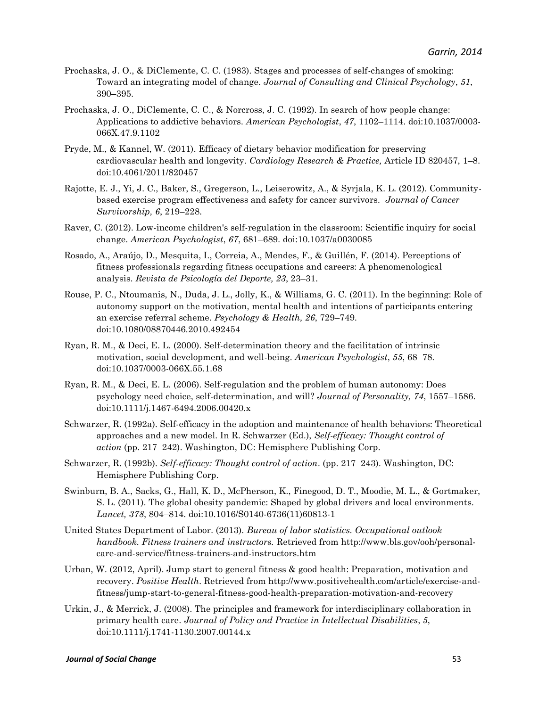- Prochaska, J. O., & DiClemente, C. C. (1983). Stages and processes of self-changes of smoking: Toward an integrating model of change. *Journal of Consulting and Clinical Psychology*, *51*, 390–395.
- Prochaska, J. O., DiClemente, C. C., & Norcross, J. C. (1992). In search of how people change: Applications to addictive behaviors. *American Psychologist*, *47*, 1102–1114. doi:10.1037/0003- 066X.47.9.1102
- Pryde, M., & Kannel, W. (2011). Efficacy of dietary behavior modification for preserving cardiovascular health and longevity. *Cardiology Research & Practice,* Article ID 820457, 1–8. doi:10.4061/2011/820457
- Rajotte, E. J., Yi, J. C., Baker, S., Gregerson, L., Leiserowitz, A., & Syrjala, K. L. (2012). Communitybased exercise program effectiveness and safety for cancer survivors. *Journal of Cancer Survivorship, 6*, 219–228.
- Raver, C. (2012). Low-income children's self-regulation in the classroom: Scientific inquiry for social change. *American Psychologist*, *67*, 681–689. doi:10.1037/a0030085
- Rosado, A., Araújo, D., Mesquita, I., Correia, A., Mendes, F., & Guillén, F. (2014). Perceptions of fitness professionals regarding fitness occupations and careers: A phenomenological analysis. *Revista de Psicología del Deporte, 23*, 23–31.
- Rouse, P. C., Ntoumanis, N., Duda, J. L., Jolly, K., & Williams, G. C. (2011). In the beginning: Role of autonomy support on the motivation, mental health and intentions of participants entering an exercise referral scheme. *Psychology & Health, 26*, 729–749. doi:10.1080/08870446.2010.492454
- Ryan, R. M., & Deci, E. L. (2000). Self-determination theory and the facilitation of intrinsic motivation, social development, and well-being. *American Psychologist*, *55*, 68–78. doi:10.1037/0003-066X.55.1.68
- Ryan, R. M., & Deci, E. L. (2006). Self-regulation and the problem of human autonomy: Does psychology need choice, self-determination, and will? *Journal of Personality, 74*, 1557–1586. doi:10.1111/j.1467-6494.2006.00420.x
- Schwarzer, R. (1992a). Self-efficacy in the adoption and maintenance of health behaviors: Theoretical approaches and a new model. In R. Schwarzer (Ed.), *Self-efficacy: Thought control of action* (pp. 217–242). Washington, DC: Hemisphere Publishing Corp.
- Schwarzer, R. (1992b). *Self-efficacy: Thought control of action*. (pp. 217–243). Washington, DC: Hemisphere Publishing Corp.
- Swinburn, B. A., Sacks, G., Hall, K. D., McPherson, K., Finegood, D. T., Moodie, M. L., & Gortmaker, S. L. (2011). The global obesity pandemic: Shaped by global drivers and local environments. *Lancet, 378*, 804–814. doi:10.1016/S0140-6736(11)60813-1
- United States Department of Labor. (2013). *Bureau of labor statistics. Occupational outlook handbook. Fitness trainers and instructors.* Retrieved from http://www.bls.gov/ooh/personalcare-and-service/fitness-trainers-and-instructors.htm
- Urban, W. (2012, April). Jump start to general fitness & good health: Preparation, motivation and recovery. *Positive Health*. Retrieved from http://www.positivehealth.com/article/exercise-andfitness/jump-start-to-general-fitness-good-health-preparation-motivation-and-recovery
- Urkin, J., & Merrick, J. (2008). The principles and framework for interdisciplinary collaboration in primary health care. *Journal of Policy and Practice in Intellectual Disabilities*, *5*, doi:10.1111/j.1741-1130.2007.00144.x